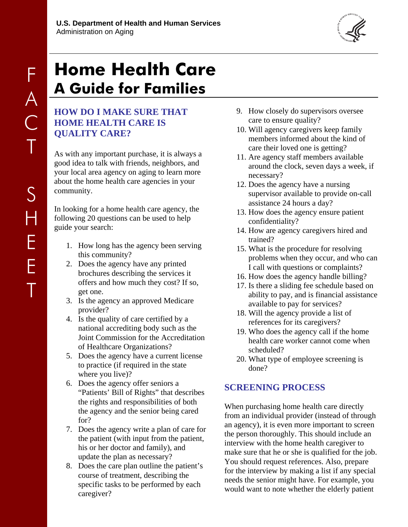

# **Home Health Care A Guide for Families**

### **HOW DO I MAKE SURE THAT HOME HEALTH CARE IS QUALITY CARE?**

As with any important purchase, it is always a good idea to talk with friends, neighbors, and your local area agency on aging to learn more about the home health care agencies in your community.

In looking for a home health care agency, the following 20 questions can be used to help guide your search:

- 1. How long has the agency been serving this community?
- 2. Does the agency have any printed brochures describing the services it offers and how much they cost? If so, get one.
- 3. Is the agency an approved Medicare provider?
- 4. Is the quality of care certified by a national accrediting body such as the Joint Commission for the Accreditation of Healthcare Organizations?
- 5. Does the agency have a current license to practice (if required in the state where you live)?
- 6. Does the agency offer seniors a "Patients' Bill of Rights" that describes the rights and responsibilities of both the agency and the senior being cared for?
- 7. Does the agency write a plan of care for the patient (with input from the patient, his or her doctor and family), and update the plan as necessary?
- 8. Does the care plan outline the patient's course of treatment, describing the specific tasks to be performed by each caregiver?
- 9. How closely do supervisors oversee care to ensure quality?
- 10. Will agency caregivers keep family members informed about the kind of care their loved one is getting?
- 11. Are agency staff members available around the clock, seven days a week, if necessary?
- 12. Does the agency have a nursing supervisor available to provide on-call assistance 24 hours a day?
- 13. How does the agency ensure patient confidentiality?
- 14. How are agency caregivers hired and trained?
- 15. What is the procedure for resolving problems when they occur, and who can I call with questions or complaints?
- 16. How does the agency handle billing?
- 17. Is there a sliding fee schedule based on ability to pay, and is financial assistance available to pay for services?
- 18. Will the agency provide a list of references for its caregivers?
- 19. Who does the agency call if the home health care worker cannot come when scheduled?
- 20. What type of employee screening is done?

## **SCREENING PROCESS**

When purchasing home health care directly from an individual provider (instead of through an agency), it is even more important to screen the person thoroughly. This should include an interview with the home health caregiver to make sure that he or she is qualified for the job. You should request references. Also, prepare for the interview by making a list if any special needs the senior might have. For example, you would want to note whether the elderly patient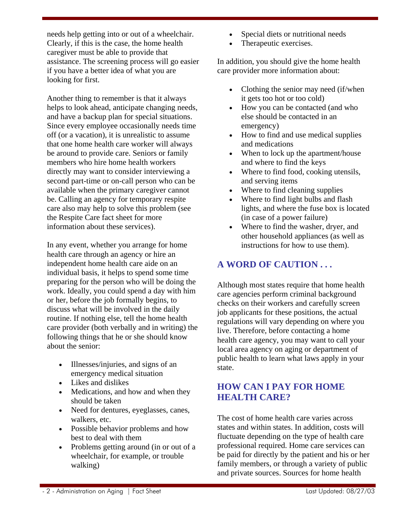needs help getting into or out of a wheelchair. Clearly, if this is the case, the home health caregiver must be able to provide that assistance. The screening process will go easier if you have a better idea of what you are looking for first.

Another thing to remember is that it always helps to look ahead, anticipate changing needs, and have a backup plan for special situations. Since every employee occasionally needs time off (or a vacation), it is unrealistic to assume that one home health care worker will always be around to provide care. Seniors or family members who hire home health workers directly may want to consider interviewing a second part-time or on-call person who can be available when the primary caregiver cannot be. Calling an agency for temporary respite care also may help to solve this problem (see the Respite Care fact sheet for more information about these services).

In any event, whether you arrange for home health care through an agency or hire an independent home health care aide on an individual basis, it helps to spend some time preparing for the person who will be doing the work. Ideally, you could spend a day with him or her, before the job formally begins, to discuss what will be involved in the daily routine. If nothing else, tell the home health care provider (both verbally and in writing) the following things that he or she should know about the senior:

- Illnesses/injuries, and signs of an emergency medical situation
- Likes and dislikes
- Medications, and how and when they should be taken
- Need for dentures, eyeglasses, canes, walkers, etc.
- Possible behavior problems and how best to deal with them
- Problems getting around (in or out of a wheelchair, for example, or trouble walking)
- Special diets or nutritional needs
- Therapeutic exercises.

In addition, you should give the home health care provider more information about:

- Clothing the senior may need (if/when it gets too hot or too cold)
- How you can be contacted (and who else should be contacted in an emergency)
- How to find and use medical supplies and medications
- When to lock up the apartment/house and where to find the keys
- Where to find food, cooking utensils, and serving items
- Where to find cleaning supplies
- Where to find light bulbs and flash lights, and where the fuse box is located (in case of a power failure)
- Where to find the washer, dryer, and other household appliances (as well as instructions for how to use them).

### **A WORD OF CAUTION . . .**

Although most states require that home health care agencies perform criminal background checks on their workers and carefully screen job applicants for these positions, the actual regulations will vary depending on where you live. Therefore, before contacting a home health care agency, you may want to call your local area agency on aging or department of public health to learn what laws apply in your state.

#### **HOW CAN I PAY FOR HOME HEALTH CARE?**

The cost of home health care varies across states and within states. In addition, costs will fluctuate depending on the type of health care professional required. Home care services can be paid for directly by the patient and his or her family members, or through a variety of public and private sources. Sources for home health